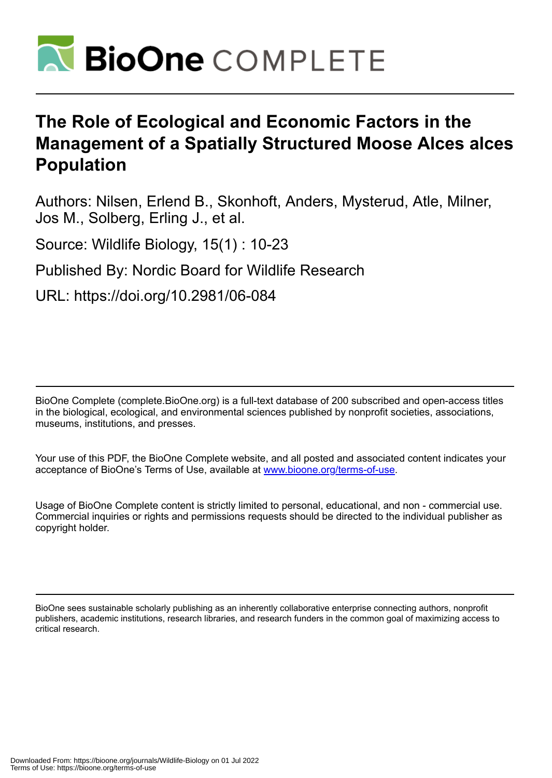

# **The Role of Ecological and Economic Factors in the Management of a Spatially Structured Moose Alces alces Population**

Authors: Nilsen, Erlend B., Skonhoft, Anders, Mysterud, Atle, Milner, Jos M., Solberg, Erling J., et al.

Source: Wildlife Biology, 15(1) : 10-23

Published By: Nordic Board for Wildlife Research

URL: https://doi.org/10.2981/06-084

BioOne Complete (complete.BioOne.org) is a full-text database of 200 subscribed and open-access titles in the biological, ecological, and environmental sciences published by nonprofit societies, associations, museums, institutions, and presses.

Your use of this PDF, the BioOne Complete website, and all posted and associated content indicates your acceptance of BioOne's Terms of Use, available at www.bioone.org/terms-of-use.

Usage of BioOne Complete content is strictly limited to personal, educational, and non - commercial use. Commercial inquiries or rights and permissions requests should be directed to the individual publisher as copyright holder.

BioOne sees sustainable scholarly publishing as an inherently collaborative enterprise connecting authors, nonprofit publishers, academic institutions, research libraries, and research funders in the common goal of maximizing access to critical research.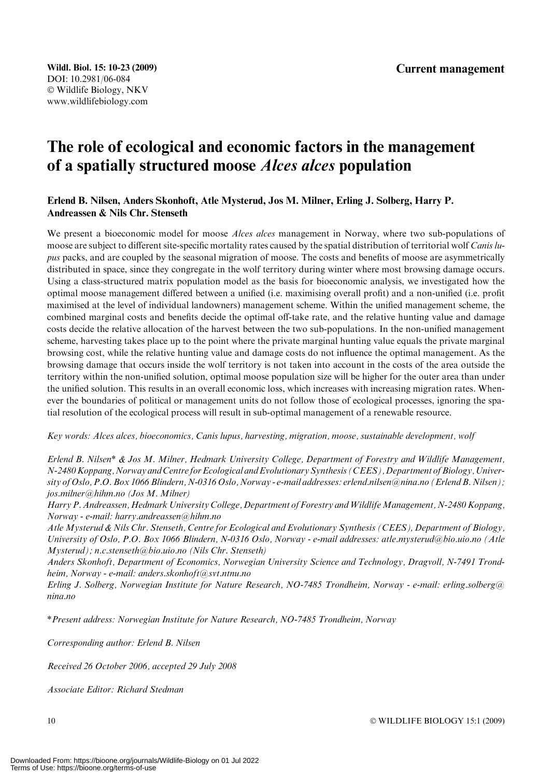## The role of ecological and economic factors in the management of a spatially structured moose Alces alces population

## Erlend B. Nilsen, Anders Skonhoft, Atle Mysterud, Jos M. Milner, Erling J. Solberg, Harry P. Andreassen & Nils Chr. Stenseth

We present a bioeconomic model for moose *Alces alces* management in Norway, where two sub-populations of moose are subject to different site-specific mortality rates caused by the spatial distribution of territorial wolf Canis lupus packs, and are coupled by the seasonal migration of moose. The costs and benefits of moose are asymmetrically distributed in space, since they congregate in the wolf territory during winter where most browsing damage occurs. Using a class-structured matrix population model as the basis for bioeconomic analysis, we investigated how the optimal moose management differed between a unified (i.e. maximising overall profit) and a non-unified (i.e. profit maximised at the level of individual landowners) management scheme. Within the unified management scheme, the combined marginal costs and benefits decide the optimal off-take rate, and the relative hunting value and damage costs decide the relative allocation of the harvest between the two sub-populations. In the non-unified management scheme, harvesting takes place up to the point where the private marginal hunting value equals the private marginal browsing cost, while the relative hunting value and damage costs do not influence the optimal management. As the browsing damage that occurs inside the wolf territory is not taken into account in the costs of the area outside the territory within the non-unified solution, optimal moose population size will be higher for the outer area than under the unified solution. This results in an overall economic loss, which increases with increasing migration rates. Whenever the boundaries of political or management units do not follow those of ecological processes, ignoring the spatial resolution of the ecological process will result in sub-optimal management of a renewable resource.

Key words: Alces alces, bioeconomics, Canis lupus, harvesting, migration, moose, sustainable development, wolf

Erlend B. Nilsen\* & Jos M. Milner, Hedmark University College, Department of Forestry and Wildlife Management, N-2480 Koppang, Norway and Centre for Ecological and Evolutionary Synthesis (CEES), Department of Biology, University of Oslo, P.O. Box 1066 Blindern, N-0316 Oslo, Norway - e-mail addresses: erlend.nilsen@nina.no (Erlend B. Nilsen); jos.milner@hihm.no (Jos M. Milner)

Harry P. Andreassen, Hedmark University College, Department of Forestry and Wildlife Management, N-2480 Koppang, Norway - e-mail: harry.andreassen@hihm.no

Atle Mysterud & Nils Chr. Stenseth, Centre for Ecological and Evolutionary Synthesis (CEES), Department of Biology, University of Oslo, P.O. Box 1066 Blindern, N-0316 Oslo, Norway - e-mail addresses: atle.mysterud@bio.uio.no (Atle Mysterud); n.c.stenseth@bio.uio.no (Nils Chr. Stenseth)

Anders Skonhoft, Department of Economics, Norwegian University Science and Technology, Dragvoll, N-7491 Trondheim, Norway - e-mail: anders.skonhoft@svt.ntnu.no

Erling J. Solberg, Norwegian Institute for Nature Research, NO-7485 Trondheim, Norway - e-mail: erling.solberg@ nina no

\*Present address: Norwegian Institute for Nature Research, NO-7485 Trondheim, Norway

Corresponding author: Erlend B. Nilsen

Received 26 October 2006, accepted 29 July 2008

Associate Editor: Richard Stedman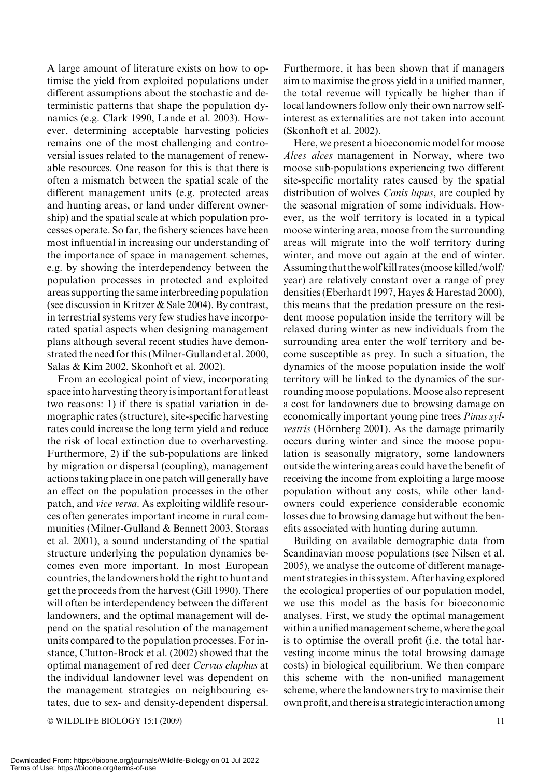A large amount of literature exists on how to optimise the yield from exploited populations under different assumptions about the stochastic and deterministic patterns that shape the population dynamics (e.g. Clark 1990, Lande et al. 2003). However, determining acceptable harvesting policies remains one of the most challenging and controversial issues related to the management of renewable resources. One reason for this is that there is often a mismatch between the spatial scale of the different management units (e.g. protected areas and hunting areas, or land under different ownership) and the spatial scale at which population processes operate. So far, the fishery sciences have been most influential in increasing our understanding of the importance of space in management schemes, e.g. by showing the interdependency between the population processes in protected and exploited areas supporting the same interbreeding population (see discussion in Kritzer & Sale 2004). By contrast, in terrestrial systems very few studies have incorporated spatial aspects when designing management plans although several recent studies have demonstrated the need for this (Milner-Gulland et al. 2000, Salas & Kim 2002, Skonhoft et al. 2002).

From an ecological point of view, incorporating space into harvesting theory is important for at least two reasons: 1) if there is spatial variation in demographic rates (structure), site-specific harvesting rates could increase the long term yield and reduce the risk of local extinction due to overharvesting. Furthermore, 2) if the sub-populations are linked by migration or dispersal (coupling), management actions taking place in one patch will generally have an effect on the population processes in the other patch, and vice versa. As exploiting wildlife resources often generates important income in rural communities (Milner-Gulland & Bennett 2003, Storaas et al. 2001), a sound understanding of the spatial structure underlying the population dynamics becomes even more important. In most European countries, the landowners hold the right to hunt and get the proceeds from the harvest (Gill 1990). There will often be interdependency between the different landowners, and the optimal management will depend on the spatial resolution of the management units compared to the population processes. For instance, Clutton-Brock et al. (2002) showed that the optimal management of red deer Cervus elaphus at the individual landowner level was dependent on the management strategies on neighbouring estates, due to sex- and density-dependent dispersal.

© WILDLIFE BIOLOGY 15:1 (2009) 11

Furthermore, it has been shown that if managers aim to maximise the gross yield in a unified manner, the total revenue will typically be higher than if local landowners follow only their own narrow selfinterest as externalities are not taken into account (Skonhoft et al. 2002). Here, we present a bioeconomic model for moose

Alces alces management in Norway, where two moose sub-populations experiencing two different site-specific mortality rates caused by the spatial distribution of wolves *Canis lupus*, are coupled by the seasonal migration of some individuals. However, as the wolf territory is located in a typical moose wintering area, moose from the surrounding areas will migrate into the wolf territory during winter, and move out again at the end of winter. Assuming that the wolf kill rates (moose killed/wolf/ year) are relatively constant over a range of prey densities (Eberhardt 1997, Hayes & Harestad 2000), this means that the predation pressure on the resident moose population inside the territory will be relaxed during winter as new individuals from the surrounding area enter the wolf territory and become susceptible as prey. In such a situation, the dynamics of the moose population inside the wolf territory will be linked to the dynamics of the surrounding moose populations. Moose also represent a cost for landowners due to browsing damage on economically important young pine trees Pinus sylvestris (Hörnberg 2001). As the damage primarily occurs during winter and since the moose population is seasonally migratory, some landowners outside the wintering areas could have the benefit of receiving the income from exploiting a large moose population without any costs, while other landowners could experience considerable economic losses due to browsing damage but without the benefits associated with hunting during autumn.

Building on available demographic data from Scandinavian moose populations (see Nilsen et al. 2005), we analyse the outcome of different management strategies in this system. After having explored the ecological properties of our population model, we use this model as the basis for bioeconomic analyses. First, we study the optimal management within a unified management scheme, where the goal is to optimise the overall profit (i.e. the total harvesting income minus the total browsing damage costs) in biological equilibrium. We then compare this scheme with the non-unified management scheme, where the landowners try to maximise their own profit, and thereis a strategicinteraction among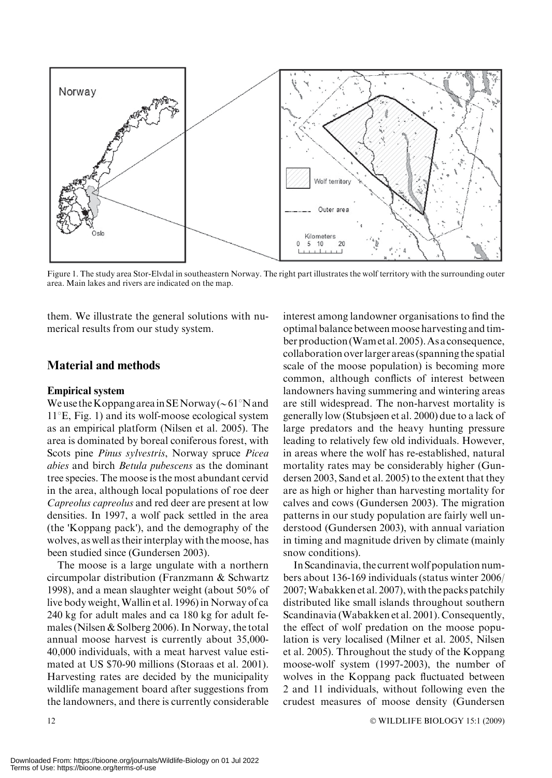

Figure 1. The study area Stor-Elvdal in southeastern Norway. The right part illustrates the wolf territory with the surrounding outer area. Main lakes and rivers are indicated on the map.

them. We illustrate the general solutions with numerical results from our study system.

## Material and methods

#### Empirical system

We use the Koppang area in SENorway ( $\sim 61^{\circ}$ N and  $11^{\circ}$ E, Fig. 1) and its wolf-moose ecological system as an empirical platform (Nilsen et al. 2005). The area is dominated by boreal coniferous forest, with Scots pine Pinus sylvestris, Norway spruce Picea abies and birch Betula pubescens as the dominant tree species. The moose is the most abundant cervid in the area, although local populations of roe deer Capreolus capreolus and red deer are present at low densities. In 1997, a wolf pack settled in the area (the 'Koppang pack'), and the demography of the wolves, as well as their interplay with the moose, has been studied since (Gundersen 2003).

The moose is a large ungulate with a northern circumpolar distribution (Franzmann & Schwartz 1998), and a mean slaughter weight (about 50% of live body weight,Wallin et al. 1996) in Norway of ca 240 kg for adult males and ca 180 kg for adult females (Nilsen & Solberg 2006). In Norway, the total annual moose harvest is currently about 35,000- 40,000 individuals, with a meat harvest value estimated at US \$70-90 millions (Storaas et al. 2001). Harvesting rates are decided by the municipality wildlife management board after suggestions from the landowners, and there is currently considerable

interest among landowner organisations to find the optimal balance between moose harvesting and timber production (Wam et al. 2005). As a consequence, collaboration overlarger areas (spanning the spatial scale of the moose population) is becoming more common, although conflicts of interest between landowners having summering and wintering areas are still widespread. The non-harvest mortality is generally low (Stubsjøen et al. 2000) due to a lack of large predators and the heavy hunting pressure leading to relatively few old individuals. However, in areas where the wolf has re-established, natural mortality rates may be considerably higher (Gundersen 2003, Sand et al. 2005) to the extent that they are as high or higher than harvesting mortality for calves and cows (Gundersen 2003). The migration patterns in our study population are fairly well understood (Gundersen 2003), with annual variation in timing and magnitude driven by climate (mainly snow conditions).

In Scandinavia, the current wolf population numbers about 136-169 individuals (status winter 2006/ 2007;Wabakken et al. 2007), with the packs patchily distributed like small islands throughout southern Scandinavia (Wabakken et al. 2001). Consequently, the effect of wolf predation on the moose population is very localised (Milner et al. 2005, Nilsen et al. 2005). Throughout the study of the Koppang moose-wolf system (1997-2003), the number of wolves in the Koppang pack fluctuated between 2 and 11 individuals, without following even the crudest measures of moose density (Gundersen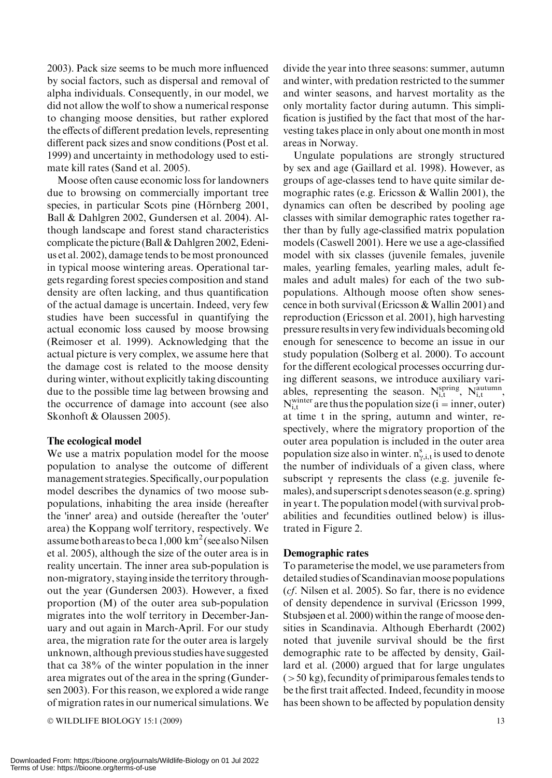2003). Pack size seems to be much more influenced by social factors, such as dispersal and removal of alpha individuals. Consequently, in our model, we did not allow the wolf to show a numerical response to changing moose densities, but rather explored the effects of different predation levels, representing different pack sizes and snow conditions (Post et al. 1999) and uncertainty in methodology used to estimate kill rates (Sand et al. 2005).

Moose often cause economic loss for landowners due to browsing on commercially important tree species, in particular Scots pine (Hörnberg 2001, Ball & Dahlgren 2002, Gundersen et al. 2004). Although landscape and forest stand characteristics complicate the picture (Ball & Dahlgren 2002, Edenius et al. 2002), damage tends to be most pronounced in typical moose wintering areas. Operational targets regarding forest species composition and stand density are often lacking, and thus quantification of the actual damage is uncertain. Indeed, very few studies have been successful in quantifying the actual economic loss caused by moose browsing (Reimoser et al. 1999). Acknowledging that the actual picture is very complex, we assume here that the damage cost is related to the moose density during winter, without explicitly taking discounting due to the possible time lag between browsing and the occurrence of damage into account (see also Skonhoft & Olaussen 2005).

## The ecological model

We use a matrix population model for the moose population to analyse the outcome of different management strategies. Specifically, our population model describes the dynamics of two moose subpopulations, inhabiting the area inside (hereafter the 'inner' area) and outside (hereafter the 'outer' area) the Koppang wolf territory, respectively. We assume both areas to be ca  $1,000 \text{ km}^2$  (see also Nilsen et al. 2005), although the size of the outer area is in reality uncertain. The inner area sub-population is non-migratory, staying inside the territory throughout the year (Gundersen 2003). However, a fixed proportion (M) of the outer area sub-population migrates into the wolf territory in December-January and out again in March-April. For our study area, the migration rate for the outer area is largely unknown, although previous studies have suggested that ca 38% of the winter population in the inner area migrates out of the area in the spring (Gundersen 2003). For this reason, we explored a wide range of migration rates in our numerical simulations. We

 $\odot$  WILDLIFE BIOLOGY 15:1 (2009) 13

divide the year into three seasons: summer, autumn and winter, with predation restricted to the summer and winter seasons, and harvest mortality as the only mortality factor during autumn. This simplification is justified by the fact that most of the harvesting takes place in only about one month in most areas in Norway.

Ungulate populations are strongly structured by sex and age (Gaillard et al. 1998). However, as groups of age-classes tend to have quite similar demographic rates (e.g. Ericsson & Wallin 2001), the dynamics can often be described by pooling age classes with similar demographic rates together rather than by fully age-classified matrix population models (Caswell 2001). Here we use a age-classified model with six classes (juvenile females, juvenile males, yearling females, yearling males, adult females and adult males) for each of the two subpopulations. Although moose often show senescence in both survival (Ericsson & Wallin 2001) and reproduction (Ericsson et al. 2001), high harvesting pressure resultsin very fewindividuals becoming old enough for senescence to become an issue in our study population (Solberg et al. 2000). To account for the different ecological processes occurring during different seasons, we introduce auxiliary variables, representing the season.  $N_{i,t}^{spring}$ ,  $N_{i,t}^{autumn}$ ,  $N_{i,t}^{white}$  are thus the population size (i = inner, outer) at time t in the spring, autumn and winter, respectively, where the migratory proportion of the outer area population is included in the outer area population size also in winter.  $n_{\gamma,i,t}^s$  is used to denote the number of individuals of a given class, where subscript  $\gamma$  represents the class (e.g. juvenile females), and superscript s denotes season (e.g. spring) in year t. The population model (with survival probabilities and fecundities outlined below) is illustrated in Figure 2.

## Demographic rates

To parameterise the model, we use parameters from detailed studies of Scandinavian moose populations (cf. Nilsen et al. 2005). So far, there is no evidence of density dependence in survival (Ericsson 1999, Stubsjøen et al. 2000) within the range of moose densities in Scandinavia. Although Eberhardt (2002) noted that juvenile survival should be the first demographic rate to be affected by density, Gaillard et al. (2000) argued that for large ungulates  $(>50 \text{ kg})$ , fecundity of primiparous females tends to be the first trait affected. Indeed, fecundity in moose has been shown to be affected by population density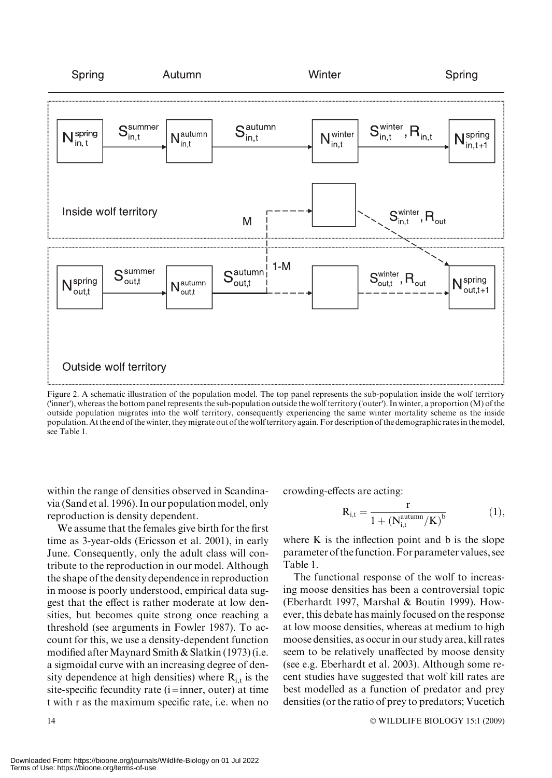

Figure 2. A schematic illustration of the population model. The top panel represents the sub-population inside the wolf territory ('inner'), whereas the bottom panel represents the sub-population outside the wolf territory ('outer'). In winter, a proportion (M) of the outside population migrates into the wolf territory, consequently experiencing the same winter mortality scheme as the inside population. At the end of the winter, they migrate out of the wolf territory again. For description of the demographic rates in themodel, see Table 1.

within the range of densities observed in Scandinavia (Sand et al. 1996). In our population model, only reproduction is density dependent.

We assume that the females give birth for the first time as 3-year-olds (Ericsson et al. 2001), in early June. Consequently, only the adult class will contribute to the reproduction in our model. Although the shape of the density dependence in reproduction in moose is poorly understood, empirical data suggest that the effect is rather moderate at low densities, but becomes quite strong once reaching a threshold (see arguments in Fowler 1987). To account for this, we use a density-dependent function modified after Maynard Smith & Slatkin  $(1973)$  (i.e. a sigmoidal curve with an increasing degree of density dependence at high densities) where  $R_{i,t}$  is the site-specific fecundity rate  $(i=inner, outer)$  at time t with r as the maximum specific rate, i.e. when no

crowding-effects are acting:

$$
R_{i,t} = \frac{r}{1 + (N_{i,t}^{\text{automn}} / K)^b}
$$
(1),

where  $K$  is the inflection point and  $b$  is the slope parameter of the function.For parameter values, see Table 1.

The functional response of the wolf to increasing moose densities has been a controversial topic (Eberhardt 1997, Marshal & Boutin 1999). However, this debate has mainly focused on the response at low moose densities, whereas at medium to high moose densities, as occur in our study area, kill rates seem to be relatively unaffected by moose density (see e.g. Eberhardt et al. 2003). Although some recent studies have suggested that wolf kill rates are best modelled as a function of predator and prey densities (or the ratio of prey to predators; Vucetich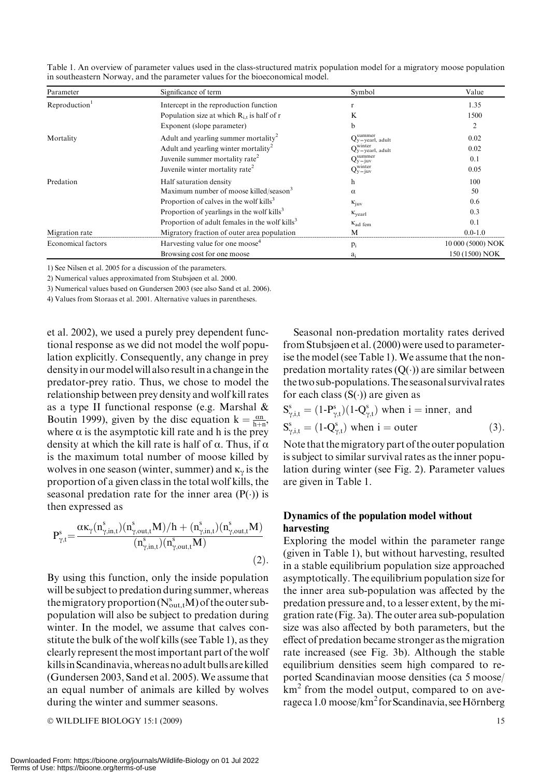| Parameter                                   | Significance of term                                       | Symbol                            | Value             |
|---------------------------------------------|------------------------------------------------------------|-----------------------------------|-------------------|
| Reproduction <sup>1</sup>                   | Intercept in the reproduction function                     |                                   | 1.35              |
|                                             | Population size at which $R_{i,t}$ is half of r            | K                                 | 1500              |
|                                             | Exponent (slope parameter)                                 | b                                 | 2                 |
| Mortality                                   | Adult and yearling summer mortality <sup>2</sup>           | $Q_y$ summer<br>Qy = yearl, adult | 0.02              |
|                                             | Adult and yearling winter mortality <sup>2</sup>           | $Q_y$ = yearl, adult              | 0.02              |
|                                             | Juvenile summer mortality rate <sup>2</sup>                | $Q_y = juv$                       | 0.1               |
| Juvenile winter mortality rate <sup>2</sup> |                                                            | $Q_{y=juv}^{winter}$              | 0.05              |
| Predation                                   | Half saturation density                                    | h                                 | 100               |
|                                             | Maximum number of moose killed/season <sup>3</sup>         | $\alpha$                          | 50                |
|                                             | Proportion of calves in the wolf kills <sup>3</sup>        | $\kappa_{\rm inv}$                | 0.6               |
|                                             | Proportion of yearlings in the wolf kills <sup>3</sup>     | $K_{\text{year}}$                 | 0.3               |
|                                             | Proportion of adult females in the wolf kills <sup>3</sup> | $\kappa_{\text{ad ferm}}$         | 0.1               |
| Migration rate                              | Migratory fraction of outer area population                | М                                 | $0.0 - 1.0$       |
| Economical factors                          | Harvesting value for one moose <sup>4</sup>                | $p_i$                             | 10 000 (5000) NOK |
|                                             | Browsing cost for one moose                                | a <sub>i</sub>                    | 150 (1500) NOK    |

Table 1. An overview of parameter values used in the class-structured matrix population model for a migratory moose population in southeastern Norway, and the parameter values for the bioeconomical model.

1) See Nilsen et al. 2005 for a discussion of the parameters.

2) Numerical values approximated from Stubsjøen et al. 2000.

3) Numerical values based on Gundersen 2003 (see also Sand et al. 2006).

4) Values from Storaas et al. 2001. Alternative values in parentheses.

et al. 2002), we used a purely prey dependent functional response as we did not model the wolf population explicitly. Consequently, any change in prey density in our model will also result in a change in the predator-prey ratio. Thus, we chose to model the relationship between prey density and wolf kill rates as a type II functional response (e.g. Marshal & Boutin 1999), given by the disc equation  $k = \frac{\alpha n}{h+n}$ , where  $\alpha$  is the asymptotic kill rate and h is the prey density at which the kill rate is half of  $\alpha$ . Thus, if  $\alpha$ is the maximum total number of moose killed by wolves in one season (winter, summer) and  $\kappa_{\gamma}$  is the proportion of a given class in the total wolf kills, the seasonal predation rate for the inner area  $(P(\cdot))$  is then expressed as

$$
P_{\gamma,t}^s{=} \frac{\alpha \kappa_\gamma(n_{\gamma,in,t}^s)(n_{\gamma,out,t}^sM)/h + (n_{\gamma,in,t}^s)(n_{\gamma,out,t}^sM)}{(n_{\gamma,in,t}^s)(n_{\gamma,out,t}^sM)} \qquad \qquad (2).
$$

By using this function, only the inside population will be subject to predation during summer, whereas the migratory proportion  $(N_{\text{out},t}^s M)$  of the outer subpopulation will also be subject to predation during winter. In the model, we assume that calves constitute the bulk of the wolf kills (see Table 1), as they clearly represent the most important part of the wolf killsin Scandinavia,whereas no adult bulls are killed (Gundersen 2003, Sand et al. 2005). We assume that an equal number of animals are killed by wolves during the winter and summer seasons.

© WILDLIFE BIOLOGY 15:1 (2009) 15

Seasonal non-predation mortality rates derived from Stubsjøen et al. (2000) were used to parameterise the model (see Table 1). We assume that the nonpredation mortality rates  $(Q(\cdot))$  are similar between the two sub-populations.The seasonal survival rates for each class  $(S(\cdot))$  are given as

$$
S_{\gamma,i,t}^s = (1 - P_{\gamma,t}^s)(1 - Q_{\gamma,t}^s) \text{ when } i = inner, \text{ and}
$$
  
\n
$$
S_{\gamma,i,t}^s = (1 - Q_{\gamma,t}^s) \text{ when } i = outer
$$
 (3).

Note that themigratory part of the outer population is subject to similar survival rates as the inner population during winter (see Fig. 2). Parameter values are given in Table 1.

## Dynamics of the population model without harvesting

Exploring the model within the parameter range (given in Table 1), but without harvesting, resulted in a stable equilibrium population size approached asymptotically. The equilibrium population size for the inner area sub-population was affected by the predation pressure and, to a lesser extent, by the migration rate (Fig. 3a). The outer area sub-population size was also affected by both parameters, but the effect of predation became stronger as the migration rate increased (see Fig. 3b). Although the stable equilibrium densities seem high compared to reported Scandinavian moose densities (ca 5 moose/ km<sup>2</sup> from the model output, compared to on average ca 1.0 moose/km<sup>2</sup> for Scandinavia, see Hörnberg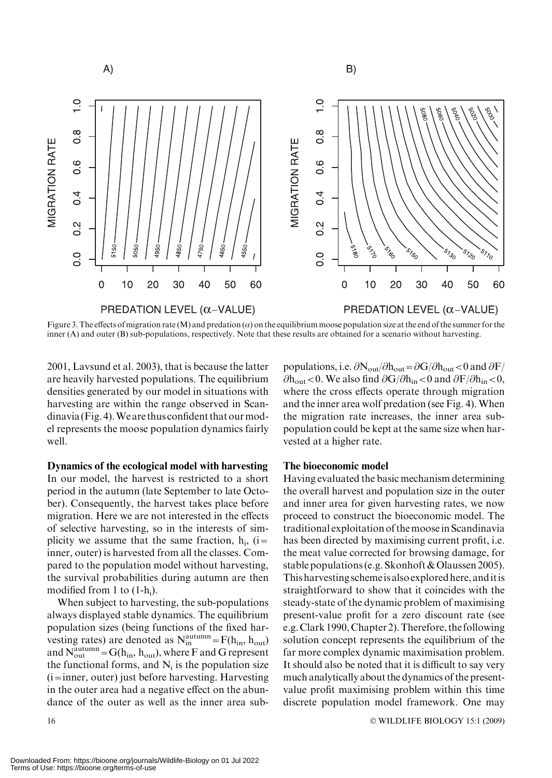

Figure 3. The effects of migration rate (M) and predation ( $\alpha$ ) on the equilibrium moose population size at the end of the summer for the inner (A) and outer (B) sub-populations, respectively. Note that these results are obtained for a scenario without harvesting.

2001, Lavsund et al. 2003), that is because the latter are heavily harvested populations. The equilibrium densities generated by our model in situations with harvesting are within the range observed in Scandinavia (Fig. 4).We are thus confident that ourmodel represents the moose population dynamics fairly well.

Dynamics of the ecological model with harvesting In our model, the harvest is restricted to a short period in the autumn (late September to late October). Consequently, the harvest takes place before migration. Here we are not interested in the effects of selective harvesting, so in the interests of simplicity we assume that the same fraction,  $h_i$ , (i= inner, outer) is harvested from all the classes. Compared to the population model without harvesting, the survival probabilities during autumn are then modified from 1 to  $(1-h_i)$ .

When subject to harvesting, the sub-populations always displayed stable dynamics. The equilibrium population sizes (being functions of the fixed harvesting rates) are denoted as  $N_{in}^{autumn} = F(h_{in}, h_{out})$ and  $N_{\text{out}}^{\text{autumn}} = G(h_{\text{in}}, h_{\text{out}})$ , where F and G represent the functional forms, and  $N_i$  is the population size (i=inner, outer) just before harvesting. Harvesting in the outer area had a negative effect on the abundance of the outer as well as the inner area subpopulations, i.e.  $\partial N_{\text{out}}/\partial h_{\text{out}} = \partial G/\partial h_{\text{out}} < 0$  and  $\partial F/$  $\partial h_{\text{out}} < 0$ . We also find  $\partial G / \partial h_{\text{in}} < 0$  and  $\partial F / \partial h_{\text{in}} < 0$ , where the cross effects operate through migration and the inner area wolf predation (see Fig. 4). When the migration rate increases, the inner area subpopulation could be kept at the same size when harvested at a higher rate.

#### The bioeconomic model

Having evaluated the basic mechanism determining the overall harvest and population size in the outer and inner area for given harvesting rates, we now proceed to construct the bioeconomic model. The traditional exploitation of themoose in Scandinavia has been directed by maximising current profit, i.e. the meat value corrected for browsing damage, for stable populations (e.g. Skonhoft & Olaussen 2005). This harvesting schemeis also explored here, anditis straightforward to show that it coincides with the steady-state of the dynamic problem of maximising present-value profit for a zero discount rate (see e.g. Clark 1990, Chapter 2).Therefore, the following solution concept represents the equilibrium of the far more complex dynamic maximisation problem. It should also be noted that it is difficult to say very much analytically about the dynamics of the presentvalue profit maximising problem within this time discrete population model framework. One may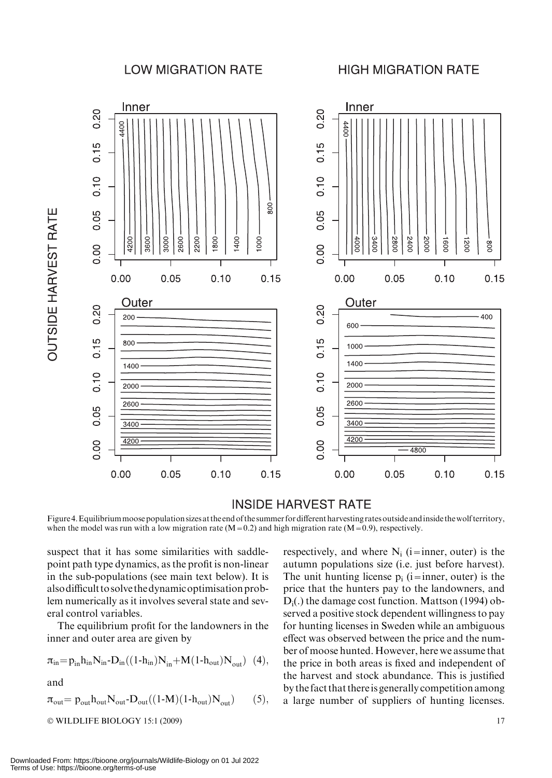## **LOW MIGRATION RATE**

## **HIGH MIGRATION RATE**



## **INSIDE HARVEST RATE**

Figure 4. Equilibrium moose population sizes at the end of the summer for different harvesting rates outside and inside the wolf territory, when the model was run with a low migration rate  $(M=0.2)$  and high migration rate  $(M=0.9)$ , respectively.

suspect that it has some similarities with saddlepoint path type dynamics, as the profit is non-linear in the sub-populations (see main text below). It is also difficult to solve the dynamic optimisation problem numerically as it involves several state and several control variables.

The equilibrium profit for the landowners in the inner and outer area are given by

$$
\pi_{in} \hspace{-0.5mm} = \hspace{-0.5mm} p_{in} h_{in} N_{in} \hspace{-0.5mm} - \hspace{-0.5mm} D_{in} \hspace{-0.5mm} \big( (1 \hspace{-0.5mm} - \hspace{-0.5mm} h_{in}) N_{in} \hspace{-0.5mm} + \hspace{-0.5mm} M \hspace{-0.5mm} \big( 1 \hspace{-0.5mm} - \hspace{-0.5mm} h_{out} \hspace{-0.5mm} \big) \hspace{0.5mm} N_{out} \hspace{-0.5mm} \big) \hspace{0.5mm} (4),
$$

and

**OUTSIDE HARVEST RATE** 

$$
\pi_{\text{out}} = p_{\text{out}} h_{\text{out}} N_{\text{out}} \text{-} D_{\text{out}} ((1-M)(1-h_{\text{out}})N_{\text{out}}) \qquad (5),
$$

$$
\odot \text{WILDLIFE BIOLOGY 15:1 (2009)} \tag{17}
$$

respectively, and where  $N_i$  (i=inner, outer) is the autumn populations size (i.e. just before harvest). The unit hunting license  $p_i$  (i=inner, outer) is the price that the hunters pay to the landowners, and  $D_i$ .) the damage cost function. Mattson (1994) observed a positive stock dependent willingness to pay for hunting licenses in Sweden while an ambiguous effect was observed between the price and the number of moose hunted. However, here we assume that the price in both areas is fixed and independent of the harvest and stock abundance. This is justified by the fact that thereis generally competition among a large number of suppliers of hunting licenses.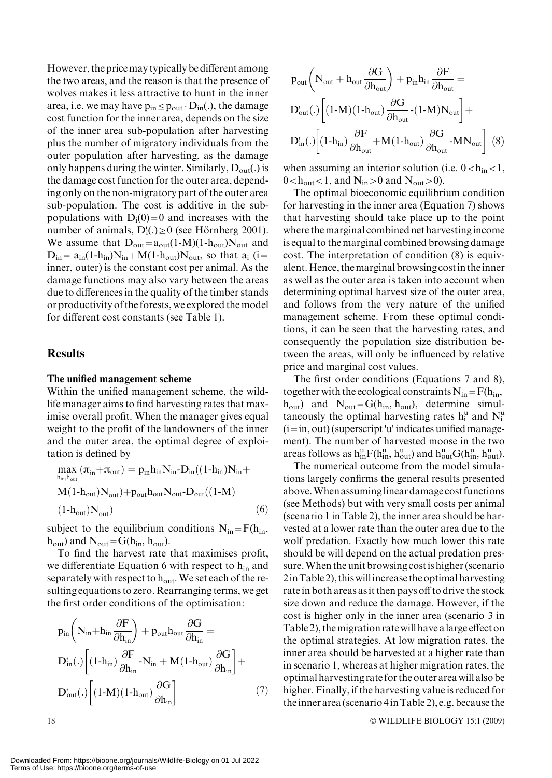However, the pricemay typically be different among the two areas, and the reason is that the presence of wolves makes it less attractive to hunt in the inner area, i.e. we may have  $p_{in} \leq p_{out} \cdot D_{in}(.)$ , the damage cost function for the inner area, depends on the size of the inner area sub-population after harvesting plus the number of migratory individuals from the outer population after harvesting, as the damage only happens during the winter. Similarly,  $D_{out}(.)$  is the damage cost function for the outer area, depending only on the non-migratory part of the outer area sub-population. The cost is additive in the subpopulations with  $D_i(0)=0$  and increases with the number of animals,  $D'_i(.) \ge 0$  (see Hörnberg 2001). We assume that  $D_{out}=a_{out}(1-M)(1-h_{out})N_{out}$  and  $D_{in} = a_{in}(1-h_{in})N_{in} + M(1-h_{out})N_{out}$ , so that  $a_i$  (i= inner, outer) is the constant cost per animal. As the damage functions may also vary between the areas due to differences in the quality of the timber stands or productivity of the forests, we explored the model for different cost constants (see Table 1).

## **Results**

#### The unified management scheme

Within the unified management scheme, the wildlife manager aims to find harvesting rates that maximise overall profit. When the manager gives equal weight to the profit of the landowners of the inner and the outer area, the optimal degree of exploitation is defined by

$$
\max_{h_{in},h_{out}} (\pi_{in} + \pi_{out}) = p_{in}h_{in}N_{in} - D_{in}((1-h_{in})N_{in} + M(1-h_{out})N_{out}) + p_{out}h_{out}N_{out} - D_{out}((1-M)
$$
  
(1-h<sub>out</sub>)N<sub>out</sub>) (6)

subject to the equilibrium conditions  $N_{in} = F(h_{in},$  $h_{\text{out}}$ ) and  $N_{\text{out}} = G(h_{\text{in}}, h_{\text{out}})$ .

To find the harvest rate that maximises profit, we differentiate Equation 6 with respect to  $h_{in}$  and separately with respect to  $h_{\text{out}}$ . We set each of the resulting equations to zero. Rearranging terms, we get the first order conditions of the optimisation:

$$
\begin{aligned} &p_{\text{in}}\bigg(N_{\text{in}}\!+\!h_{\text{in}}\frac{\partial F}{\partial h_{\text{in}}}\bigg)+p_{\text{out}}h_{\text{out}}\frac{\partial G}{\partial h_{\text{in}}} = \\ &D_{\text{in}}'.\bigg[\big(1\text{-}h_{\text{in}}\big)\frac{\partial F}{\partial h_{\text{in}}}\text{-}N_{\text{in}}+M(1\text{-}h_{\text{out}})\frac{\partial G}{\partial h_{\text{in}}}\bigg]+\notag\\ &D_{\text{out}}'.\bigg[\big(1\text{-}M\big)(1\text{-}h_{\text{out}})\frac{\partial G}{\partial h_{\text{in}}}\bigg] \end{aligned} \tag{7}
$$

$$
\begin{aligned} & p_{out}\bigg(N_{out}+h_{out}\frac{\partial G}{\partial h_{out}}\bigg)+p_{in}h_{in}\frac{\partial F}{\partial h_{out}}=\\ & D_{out}^{\prime} (.)\bigg[(1\text{-}M)(1\text{-}h_{out})\frac{\partial G}{\partial h_{out}}\text{--}(1\text{-}M)N_{out}\bigg]+\quad\\ & D_{in}^{\prime} (.)\bigg[(1\text{-}h_{in})\frac{\partial F}{\partial h_{out}}\text{+}M(1\text{-}h_{out})\frac{\partial G}{\partial h_{out}}\text{--}MN_{out}\bigg]\,\;(8)\end{aligned}
$$

when assuming an interior solution (i.e.  $0 < h_{in} < 1$ ,  $0 < h<sub>out</sub> < 1$ , and  $N<sub>in</sub> > 0$  and  $N<sub>out</sub> > 0$ .

The optimal bioeconomic equilibrium condition for harvesting in the inner area (Equation 7) shows that harvesting should take place up to the point where themarginal combined net harvestingincome is equal to the marginal combined browsing damage cost. The interpretation of condition (8) is equivalent.Hence, themarginal browsing costin theinner as well as the outer area is taken into account when determining optimal harvest size of the outer area, and follows from the very nature of the unified management scheme. From these optimal conditions, it can be seen that the harvesting rates, and consequently the population size distribution between the areas, will only be influenced by relative price and marginal cost values.

The first order conditions (Equations 7 and 8), together with the ecological constraints  $N_{in} = F(h_{in},$  $h_{\text{out}}$ ) and  $N_{\text{out}} = G(h_{\text{in}}, h_{\text{out}})$ , determine simultaneously the optimal harvesting rates  $h_i^u$  and  $N_i^u$  $(i=in, out)$  (superscript 'u' indicates unified management). The number of harvested moose in the two areas follows as  $h_{in}^{u}F(h_{in}^{u}, h_{out}^{u})$  and  $h_{out}^{u}G(h_{in}^{u}, h_{out}^{u})$ .

The numerical outcome from the model simulations largely confirms the general results presented above.When assuminglinear damage cost functions (see Methods) but with very small costs per animal (scenario 1 in Table 2), the inner area should be harvested at a lower rate than the outer area due to the wolf predation. Exactly how much lower this rate should be will depend on the actual predation pressure.When the unit browsing costis higher (scenario 2inTable 2), thiswillincrease the optimal harvesting rate in both areas as it then pays off to drive the stock size down and reduce the damage. However, if the cost is higher only in the inner area (scenario 3 in Table 2), themigration rate will have alarge effect on the optimal strategies. At low migration rates, the inner area should be harvested at a higher rate than in scenario 1, whereas at higher migration rates, the optimal harvesting rate for the outer area will also be higher. Finally, if the harvesting value is reduced for theinner area (scenario 4inTable 2), e.g. because the

WILDLIFE BIOLOGY 15:1 (2009)

 $18$   $\circ$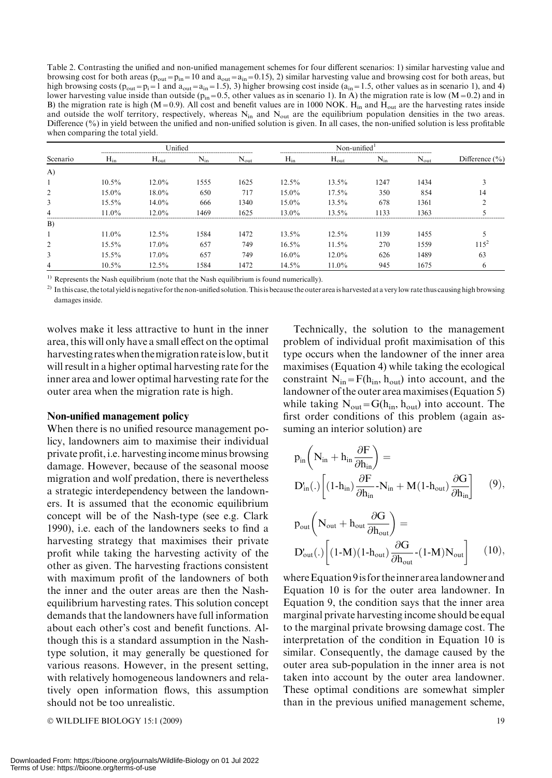Table 2. Contrasting the unified and non-unified management schemes for four different scenarios: 1) similar harvesting value and browsing cost for both areas ( $p_{out}=p_{in}=10$  and  $a_{out}=\bar{a}_{in}=0.15$ ), 2) similar harvesting value and browsing cost for both areas, but high browsing costs ( $p_{out}=p_i=1$  and  $a_{out}=a_{in}=1.5$ ), 3) higher browsing cost inside ( $a_{in}=1.5$ , other values as in scenario 1), and 4) lower harvesting value inside than outside ( $p_{in}=0.5$ , other values as in scenario 1). In A) the migration rate is low (M=0.2) and in B) the migration rate is high (M=0.9). All cost and benefit values are in 1000 NOK. H<sub>in</sub> and H<sub>out</sub> are the harvesting rates inside and outside the wolf territory, respectively, whereas  $N_{in}$  and  $N_{out}$  are the equilibrium population densities in the two areas. Difference (%) in yield between the unified and non-unified solution is given. In all cases, the non-unified solution is less profitable when comparing the total yield.

| Scenario     | Unified  |                  |          | Non-unified $1$  |          |                  |          |                  |                    |
|--------------|----------|------------------|----------|------------------|----------|------------------|----------|------------------|--------------------|
|              | $H_{in}$ | $H_{\text{out}}$ | $N_{in}$ | $N_{\text{out}}$ | $H_{in}$ | $H_{\text{out}}$ | $N_{in}$ | $N_{\text{out}}$ | Difference $(\% )$ |
| $\mathbf{A}$ |          |                  |          |                  |          |                  |          |                  |                    |
|              | $10.5\%$ | $12.0\%$         | 1555     | 1625             | $12.5\%$ | $13.5\%$         | 1247     | 1434             |                    |
| 2            | $15.0\%$ | $18.0\%$         | 650      | 717              | $15.0\%$ | $17.5\%$         | 350      | 854              | 14                 |
| 3            | $15.5\%$ | $14.0\%$         | 666      | 1340             | $15.0\%$ | 13.5%            | 678      | 1361             |                    |
| 4            | $11.0\%$ | $12.0\%$         | 1469     | 1625             | $13.0\%$ | 13.5%            | 1133     | 1363             |                    |
| B)           |          |                  |          |                  |          |                  |          |                  |                    |
|              | $11.0\%$ | $12.5\%$         | 1584     | 1472             | $13.5\%$ | $12.5\%$         | 1139     | 1455             |                    |
| 2            | $15.5\%$ | $17.0\%$         | 657      | 749              | $16.5\%$ | 11.5%            | 270      | 1559             | $115^{2}$          |
| 3            | $15.5\%$ | $17.0\%$         | 657      | 749              | $16.0\%$ | $12.0\%$         | 626      | 1489             | 63                 |
| 4            | $10.5\%$ | $12.5\%$         | 1584     | 1472             | 14.5%    | $11.0\%$         | 945      | 1675             | 6                  |

 $1)$  Represents the Nash equilibrium (note that the Nash equilibrium is found numerically).

 $^{2)}$  In this case, the total yield is negative for the non-unified solution. This is because the outer area is harvested at a very low rate thus causing high browsing damages inside.

wolves make it less attractive to hunt in the inner area, this will only have a small effect on the optimal harvesting rateswhen themigration rateislow, butit will result in a higher optimal harvesting rate for the inner area and lower optimal harvesting rate for the outer area when the migration rate is high.

#### Non-unified management policy

When there is no unified resource management policy, landowners aim to maximise their individual private profit, i.e. harvesting income minus browsing damage. However, because of the seasonal moose migration and wolf predation, there is nevertheless a strategic interdependency between the landowners. It is assumed that the economic equilibrium concept will be of the Nash-type (see e.g. Clark 1990), i.e. each of the landowners seeks to find a harvesting strategy that maximises their private profit while taking the harvesting activity of the other as given. The harvesting fractions consistent with maximum profit of the landowners of both the inner and the outer areas are then the Nashequilibrium harvesting rates. This solution concept demands that the landowners have full information about each other's cost and benefit functions. Although this is a standard assumption in the Nashtype solution, it may generally be questioned for various reasons. However, in the present setting, with relatively homogeneous landowners and relatively open information flows, this assumption should not be too unrealistic.

© WILDLIFE BIOLOGY 15:1 (2009) 19

Technically, the solution to the management problem of individual profit maximisation of this type occurs when the landowner of the inner area maximises (Equation 4) while taking the ecological constraint  $N_{in} = F(h_{in}, h_{out})$  into account, and the landowner of the outer area maximises (Equation 5) while taking  $N_{\text{out}} = G(h_{\text{in}}, h_{\text{out}})$  into account. The first order conditions of this problem (again assuming an interior solution) are

$$
\begin{aligned} &p_{\text{in}}\bigg(N_{\text{in}}+h_{\text{in}}\frac{\partial F}{\partial h_{\text{in}}}\bigg)= \\ &D_{\text{in}}(.)\bigg[(1\text{-}h_{\text{in}})\frac{\partial F}{\partial h_{\text{in}}}\text{-}N_{\text{in}}+M(1\text{-}h_{\text{out}})\frac{\partial G}{\partial h_{\text{in}}}\bigg] \end{aligned} \tag{9},
$$

$$
p_{out} \left( N_{out} + h_{out} \frac{\partial G}{\partial h_{out}} \right) =
$$
  

$$
D'_{out}(.) \left[ (1-M)(1-h_{out}) \frac{\partial G}{\partial h_{out}} - (1-M)N_{out} \right] \qquad (10),
$$

where Equation 9 is for the inner area landowner and Equation 10 is for the outer area landowner. In Equation 9, the condition says that the inner area marginal private harvesting income should be equal to the marginal private browsing damage cost. The interpretation of the condition in Equation 10 is similar. Consequently, the damage caused by the outer area sub-population in the inner area is not taken into account by the outer area landowner. These optimal conditions are somewhat simpler than in the previous unified management scheme,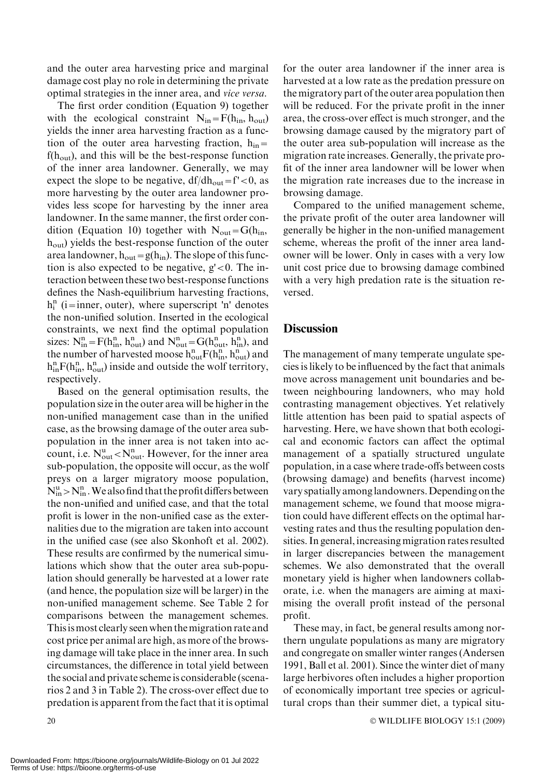and the outer area harvesting price and marginal damage cost play no role in determining the private optimal strategies in the inner area, and vice versa.

The first order condition (Equation 9) together with the ecological constraint  $N_{in} = F(h_{in}, h_{out})$ yields the inner area harvesting fraction as a function of the outer area harvesting fraction,  $h_{in}$  $f(h<sub>out</sub>)$ , and this will be the best-response function of the inner area landowner. Generally, we may expect the slope to be negative,  $df/dh_{out} = f' < 0$ , as more harvesting by the outer area landowner provides less scope for harvesting by the inner area landowner. In the same manner, the first order condition (Equation 10) together with  $N_{\text{out}} = G(h_{\text{in}},$  $h<sub>out</sub>$ ) yields the best-response function of the outer area landowner,  $h_{out}=g(h_{in})$ . The slope of this function is also expected to be negative,  $g' < 0$ . The interaction between these two best-response functions defines the Nash-equilibrium harvesting fractions,  $h_i^n$  (i=inner, outer), where superscript 'n' denotes the non-unified solution. Inserted in the ecological constraints, we next find the optimal population sizes:  $N_{in}^{n} = F(h_{in}^{n}, h_{out}^{n})$  and  $N_{out}^{n} = G(h_{out}^{n}, h_{in}^{n})$ , and the number of harvested moose  $h_{out}^n F(h_{in}^n, h_{out}^n)$  and  $h_{in}^{n}F(h_{in}^{n}, h_{out}^{n})$  inside and outside the wolf territory, respectively.

Based on the general optimisation results, the population size in the outer area will be higher in the non-unified management case than in the unified case, as the browsing damage of the outer area subpopulation in the inner area is not taken into account, i.e.  $N_{\text{out}}^{\text{u}} < N_{\text{out}}^{\text{n}}$ . However, for the inner area sub-population, the opposite will occur, as the wolf preys on a larger migratory moose population,  $N_{\text{in}}^{\text{u}}$  >  $N_{\text{in}}^{\text{n}}$ . We also find that the profit differs between the non-unified and unified case, and that the total profit is lower in the non-unified case as the externalities due to the migration are taken into account in the unified case (see also Skonhoft et al. 2002). These results are confirmed by the numerical simulations which show that the outer area sub-population should generally be harvested at a lower rate (and hence, the population size will be larger) in the non-unified management scheme. See Table 2 for comparisons between the management schemes. Thisismost clearly seen when themigration rate and cost price per animal are high, as more of the browsing damage will take place in the inner area. In such circumstances, the difference in total yield between the social and private scheme is considerable (scenarios 2 and 3 in Table 2). The cross-over effect due to predation is apparent from the fact that it is optimal

for the outer area landowner if the inner area is harvested at a low rate as the predation pressure on the migratory part of the outer area population then will be reduced. For the private profit in the inner area, the cross-over effect is much stronger, and the browsing damage caused by the migratory part of the outer area sub-population will increase as the migration rate increases. Generally, the private profit of the inner area landowner will be lower when the migration rate increases due to the increase in browsing damage.

Compared to the unified management scheme, the private profit of the outer area landowner will generally be higher in the non-unified management scheme, whereas the profit of the inner area landowner will be lower. Only in cases with a very low unit cost price due to browsing damage combined with a very high predation rate is the situation reversed.

## **Discussion**

The management of many temperate ungulate species is likely to be influenced by the fact that animals move across management unit boundaries and between neighbouring landowners, who may hold contrasting management objectives. Yet relatively little attention has been paid to spatial aspects of harvesting. Here, we have shown that both ecological and economic factors can affect the optimal management of a spatially structured ungulate population, in a case where trade-offs between costs (browsing damage) and benefits (harvest income) vary spatially amonglandowners.Depending on the management scheme, we found that moose migration could have different effects on the optimal harvesting rates and thus the resulting population densities. In general, increasing migration rates resulted in larger discrepancies between the management schemes. We also demonstrated that the overall monetary yield is higher when landowners collaborate, i.e. when the managers are aiming at maximising the overall profit instead of the personal profit.

These may, in fact, be general results among northern ungulate populations as many are migratory and congregate on smaller winter ranges (Andersen 1991, Ball et al. 2001). Since the winter diet of many large herbivores often includes a higher proportion of economically important tree species or agricultural crops than their summer diet, a typical situ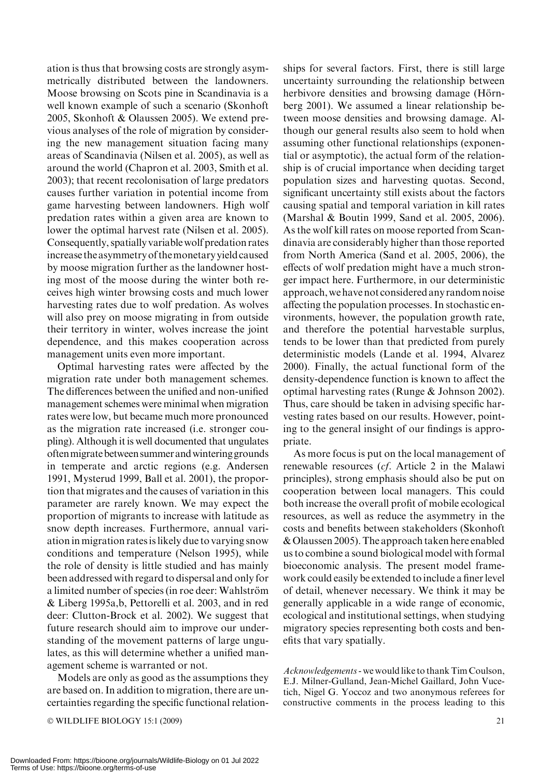ation is thus that browsing costs are strongly asymmetrically distributed between the landowners. Moose browsing on Scots pine in Scandinavia is a well known example of such a scenario (Skonhoft 2005, Skonhoft & Olaussen 2005). We extend previous analyses of the role of migration by considering the new management situation facing many areas of Scandinavia (Nilsen et al. 2005), as well as around the world (Chapron et al. 2003, Smith et al. 2003); that recent recolonisation of large predators causes further variation in potential income from game harvesting between landowners. High wolf predation rates within a given area are known to lower the optimal harvest rate (Nilsen et al. 2005). Consequently, spatially variable wolf predation rates increase the asymmetry of themonetary yield caused by moose migration further as the landowner hosting most of the moose during the winter both receives high winter browsing costs and much lower harvesting rates due to wolf predation. As wolves will also prey on moose migrating in from outside their territory in winter, wolves increase the joint dependence, and this makes cooperation across management units even more important.

Optimal harvesting rates were affected by the migration rate under both management schemes. The differences between the unified and non-unified management schemes were minimal when migration rates were low, but became much more pronounced as the migration rate increased (i.e. stronger coupling). Although it is well documented that ungulates oftenmigratebetween summer andwintering grounds in temperate and arctic regions (e.g. Andersen 1991, Mysterud 1999, Ball et al. 2001), the proportion that migrates and the causes of variation in this parameter are rarely known. We may expect the proportion of migrants to increase with latitude as snow depth increases. Furthermore, annual variation in migration rates is likely due to varying snow conditions and temperature (Nelson 1995), while the role of density is little studied and has mainly been addressed with regard to dispersal and only for a limited number of species (in roe deer: Wahlström & Liberg 1995a,b, Pettorelli et al. 2003, and in red deer: Clutton-Brock et al. 2002). We suggest that future research should aim to improve our understanding of the movement patterns of large ungulates, as this will determine whether a unified management scheme is warranted or not.

Models are only as good as the assumptions they are based on. In addition to migration, there are uncertainties regarding the specific functional relation-

© WILDLIFE BIOLOGY 15:1 (2009) 21

ships for several factors. First, there is still large uncertainty surrounding the relationship between herbivore densities and browsing damage (Hörnberg 2001). We assumed a linear relationship between moose densities and browsing damage. Although our general results also seem to hold when assuming other functional relationships (exponential or asymptotic), the actual form of the relationship is of crucial importance when deciding target population sizes and harvesting quotas. Second, significant uncertainty still exists about the factors causing spatial and temporal variation in kill rates (Marshal & Boutin 1999, Sand et al. 2005, 2006). As the wolf kill rates on moose reported from Scandinavia are considerably higher than those reported from North America (Sand et al. 2005, 2006), the effects of wolf predation might have a much stronger impact here. Furthermore, in our deterministic approach, we have not considered any random noise affecting the population processes. In stochastic environments, however, the population growth rate, and therefore the potential harvestable surplus, tends to be lower than that predicted from purely deterministic models (Lande et al. 1994, Alvarez 2000). Finally, the actual functional form of the density-dependence function is known to affect the optimal harvesting rates (Runge & Johnson 2002). Thus, care should be taken in advising specific harvesting rates based on our results. However, pointing to the general insight of our findings is appropriate.

As more focus is put on the local management of renewable resources (cf. Article 2 in the Malawi principles), strong emphasis should also be put on cooperation between local managers. This could both increase the overall profit of mobile ecological resources, as well as reduce the asymmetry in the costs and benefits between stakeholders (Skonhoft & Olaussen 2005). The approach taken here enabled us to combine a sound biological model with formal bioeconomic analysis. The present model framework could easily be extended to include a finer level of detail, whenever necessary. We think it may be generally applicable in a wide range of economic, ecological and institutional settings, when studying migratory species representing both costs and benefits that vary spatially.

Acknowledgements- we would like to thank Tim Coulson, E.J. Milner-Gulland, Jean-Michel Gaillard, John Vucetich, Nigel G. Yoccoz and two anonymous referees for constructive comments in the process leading to this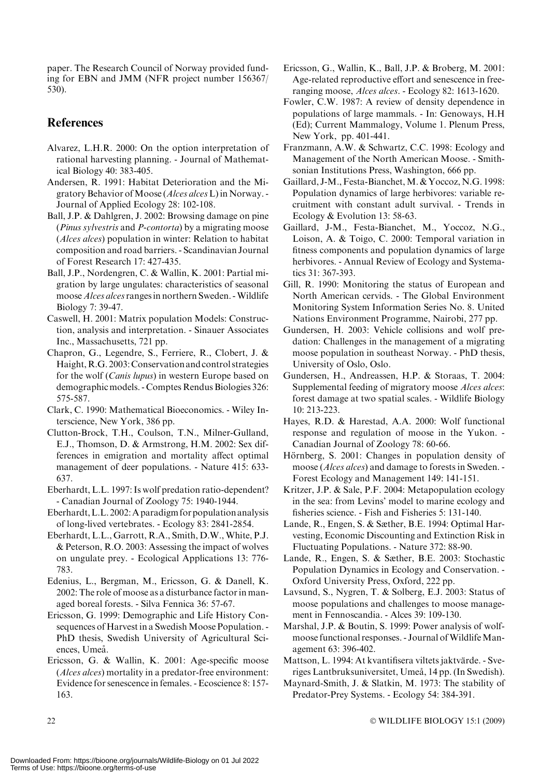paper. The Research Council of Norway provided funding for EBN and JMM (NFR project number 156367/ 530).

## **References**

- Alvarez, L.H.R. 2000: On the option interpretation of rational harvesting planning. - Journal of Mathematical Biology 40: 383-405.
- Andersen, R. 1991: Habitat Deterioration and the Migratory Behavior of Moose (Alces alces L) in Norway. -Journal of Applied Ecology 28: 102-108.
- Ball, J.P. & Dahlgren, J. 2002: Browsing damage on pine (Pinus sylvestris and P-contorta) by a migrating moose (Alces alces) population in winter: Relation to habitat composition and road barriers. - Scandinavian Journal of Forest Research 17: 427-435.
- Ball, J.P., Nordengren, C. & Wallin, K. 2001: Partial migration by large ungulates: characteristics of seasonal moose *Alces alces* ranges in northern Sweden. - Wildlife Biology 7: 39-47.
- Caswell, H. 2001: Matrix population Models: Construction, analysis and interpretation. - Sinauer Associates Inc., Massachusetts, 721 pp.
- Chapron, G., Legendre, S., Ferriere, R., Clobert, J. & Haight, R.G. 2003: Conservation and control strategies for the wolf (Canis lupus) in western Europe based on demographic models. - Comptes Rendus Biologies 326: 575-587.
- Clark, C. 1990: Mathematical Bioeconomics. Wiley Interscience, New York, 386 pp.
- Clutton-Brock, T.H., Coulson, T.N., Milner-Gulland, E.J., Thomson, D. & Armstrong, H.M. 2002: Sex differences in emigration and mortality affect optimal management of deer populations. - Nature 415: 633- 637.
- Eberhardt, L.L. 1997: Is wolf predation ratio-dependent? - Canadian Journal of Zoology 75: 1940-1944.
- Eberhardt,L.L. 2002:A paradigm for population analysis of long-lived vertebrates. - Ecology 83: 2841-2854.
- Eberhardt, L.L., Garrott, R.A., Smith, D.W., White, P.J. & Peterson, R.O. 2003: Assessing the impact of wolves on ungulate prey. - Ecological Applications 13: 776- 783.
- Edenius, L., Bergman, M., Ericsson, G. & Danell, K. 2002: The role of moose as a disturbance factor in managed boreal forests. - Silva Fennica 36: 57-67.
- Ericsson, G. 1999: Demographic and Life History Consequences of Harvest in a Swedish Moose Population. -PhD thesis, Swedish University of Agricultural Sciences, Umeå.
- Ericsson, G. & Wallin, K. 2001: Age-specific moose (Alces alces) mortality in a predator-free environment: Evidence for senescence in females. - Ecoscience 8: 157- 163.
- Ericsson, G., Wallin, K., Ball, J.P. & Broberg, M. 2001: Age-related reproductive effort and senescence in freeranging moose, Alces alces. - Ecology 82: 1613-1620.
- Fowler, C.W. 1987: A review of density dependence in populations of large mammals. - In: Genoways, H.H (Ed); Current Mammalogy, Volume 1. Plenum Press, New York, pp. 401-441.
- Franzmann, A.W. & Schwartz, C.C. 1998: Ecology and Management of the North American Moose. - Smithsonian Institutions Press, Washington, 666 pp.
- Gaillard, J-M., Festa-Bianchet,M. & Yoccoz, N.G. 1998: Population dynamics of large herbivores: variable recruitment with constant adult survival. - Trends in Ecology & Evolution 13: 58-63.
- Gaillard, J-M., Festa-Bianchet, M., Yoccoz, N.G., Loison, A. & Toigo, C. 2000: Temporal variation in fitness components and population dynamics of large herbivores. - Annual Review of Ecology and Systematics 31: 367-393.
- Gill, R. 1990: Monitoring the status of European and North American cervids. - The Global Environment Monitoring System Information Series No. 8. United Nations Environment Programme, Nairobi, 277 pp.
- Gundersen, H. 2003: Vehicle collisions and wolf predation: Challenges in the management of a migrating moose population in southeast Norway. - PhD thesis, University of Oslo, Oslo.
- Gundersen, H., Andreassen, H.P. & Storaas, T. 2004: Supplemental feeding of migratory moose Alces alces: forest damage at two spatial scales. - Wildlife Biology 10: 213-223.
- Hayes, R.D. & Harestad, A.A. 2000: Wolf functional response and regulation of moose in the Yukon. - Canadian Journal of Zoology 78: 60-66.
- Hörnberg, S. 2001: Changes in population density of moose (*Alces alces*) and damage to forests in Sweden. -Forest Ecology and Management 149: 141-151.
- Kritzer, J.P. & Sale, P.F. 2004: Metapopulation ecology in the sea: from Levins' model to marine ecology and fisheries science. - Fish and Fisheries 5: 131-140.
- Lande, R., Engen, S. & Sæther, B.E. 1994: Optimal Harvesting, Economic Discounting and Extinction Risk in Fluctuating Populations. - Nature 372: 88-90.
- Lande, R., Engen, S. & Sæther, B.E. 2003: Stochastic Population Dynamics in Ecology and Conservation. - Oxford University Press, Oxford, 222 pp.
- Lavsund, S., Nygren, T. & Solberg, E.J. 2003: Status of moose populations and challenges to moose management in Fennoscandia. - Alces 39: 109-130.
- Marshal, J.P. & Boutin, S. 1999: Power analysis of wolfmoose functional responses. - Journal of Wildlife Management 63: 396-402.
- Mattson, L. 1994: At kvantifisera viltets jaktvärde. Sveriges Lantbruksuniversitet, Umeå, 14 pp. (In Swedish).
- Maynard-Smith, J. & Slatkin, M. 1973: The stability of Predator-Prey Systems. - Ecology 54: 384-391.